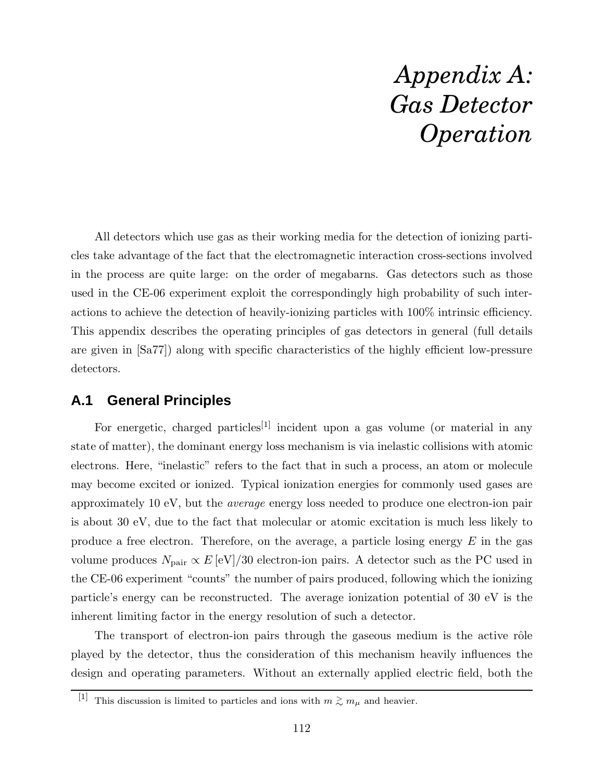## *Appendix A: Gas Detector Operation*

All detectors which use gas as their working media for the detection of ionizing particles take advantage of the fact that the electromagnetic interaction cross-sections involved in the process are quite large: on the order of megabarns. Gas detectors such as those used in the CE-06 experiment exploit the correspondingly high probability of such interactions to achieve the detection of heavily-ionizing particles with 100% intrinsic efficiency. This appendix describes the operating principles of gas detectors in general (full details are given in [Sa77]) along with specific characteristics of the highly efficient low-pressure detectors.

## **A.1 General Principles**

For energetic, charged particles<sup>[1]</sup> incident upon a gas volume (or material in any state of matter), the dominant energy loss mechanism is via inelastic collisions with atomic electrons. Here, "inelastic" refers to the fact that in such a process, an atom or molecule may become excited or ionized. Typical ionization energies for commonly used gases are approximately 10 eV, but the *average* energy loss needed to produce one electron-ion pair is about 30 eV, due to the fact that molecular or atomic excitation is much less likely to produce a free electron. Therefore, on the average, a particle losing energy  $E$  in the gas volume produces  $N_{\rm pair} \propto E\,[\rm eV]/30$  electron-ion pairs. A detector such as the PC used in the CE-06 experiment "counts" the number of pairs produced, following which the ionizing particle's energy can be reconstructed. The average ionization potential of 30 eV is the inherent limiting factor in the energy resolution of such a detector.

The transport of electron-ion pairs through the gaseous medium is the active rôle played by the detector, thus the consideration of this mechanism heavily influences the design and operating parameters. Without an externally applied electric field, both the

<sup>&</sup>lt;sup>[1]</sup> This discussion is limited to particles and ions with  $m \gtrsim m_{\mu}$  and heavier.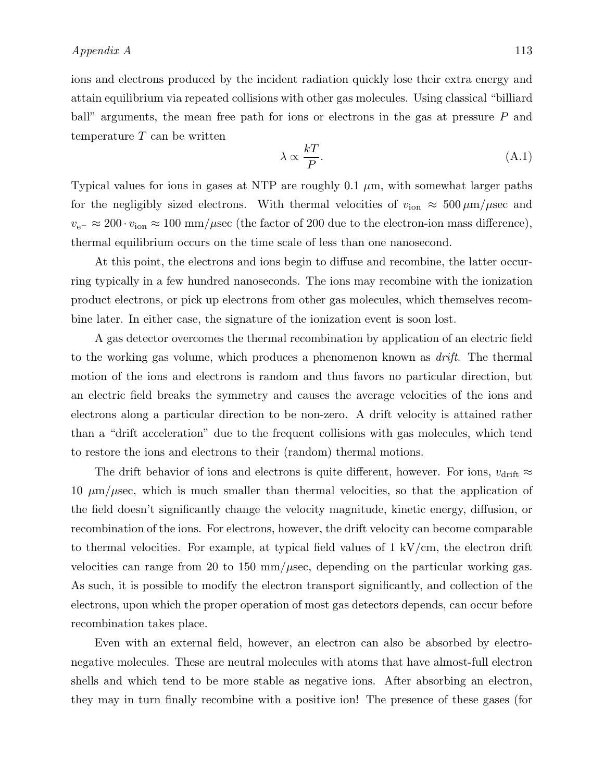ions and electrons produced by the incident radiation quickly lose their extra energy and attain equilibrium via repeated collisions with other gas molecules. Using classical "billiard ball" arguments, the mean free path for ions or electrons in the gas at pressure P and temperature  $T$  can be written

$$
\lambda \propto \frac{kT}{P}.\tag{A.1}
$$

Typical values for ions in gases at NTP are roughly 0.1  $\mu$ m, with somewhat larger paths for the negligibly sized electrons. With thermal velocities of  $v_{\text{ion}} \approx 500 \,\mu\text{m}/\mu\text{sec}$  and  $v_{\rm e^-} \approx 200 \cdot v_{\rm ion} \approx 100 \text{ mm}/\mu\text{sec}$  (the factor of 200 due to the electron-ion mass difference), thermal equilibrium occurs on the time scale of less than one nanosecond.

At this point, the electrons and ions begin to diffuse and recombine, the latter occurring typically in a few hundred nanoseconds. The ions may recombine with the ionization product electrons, or pick up electrons from other gas molecules, which themselves recombine later. In either case, the signature of the ionization event is soon lost.

A gas detector overcomes the thermal recombination by application of an electric field to the working gas volume, which produces a phenomenon known as *drift*. The thermal motion of the ions and electrons is random and thus favors no particular direction, but an electric field breaks the symmetry and causes the average velocities of the ions and electrons along a particular direction to be non-zero. A drift velocity is attained rather than a "drift acceleration" due to the frequent collisions with gas molecules, which tend to restore the ions and electrons to their (random) thermal motions.

The drift behavior of ions and electrons is quite different, however. For ions,  $v_{\text{drift}} \approx$ 10  $\mu$ m/ $\mu$ sec, which is much smaller than thermal velocities, so that the application of the field doesn't significantly change the velocity magnitude, kinetic energy, diffusion, or recombination of the ions. For electrons, however, the drift velocity can become comparable to thermal velocities. For example, at typical field values of  $1 \text{ kV/cm}$ , the electron drift velocities can range from 20 to 150 mm/ $\mu$ sec, depending on the particular working gas. As such, it is possible to modify the electron transport significantly, and collection of the electrons, upon which the proper operation of most gas detectors depends, can occur before recombination takes place.

Even with an external field, however, an electron can also be absorbed by electronegative molecules. These are neutral molecules with atoms that have almost-full electron shells and which tend to be more stable as negative ions. After absorbing an electron, they may in turn finally recombine with a positive ion! The presence of these gases (for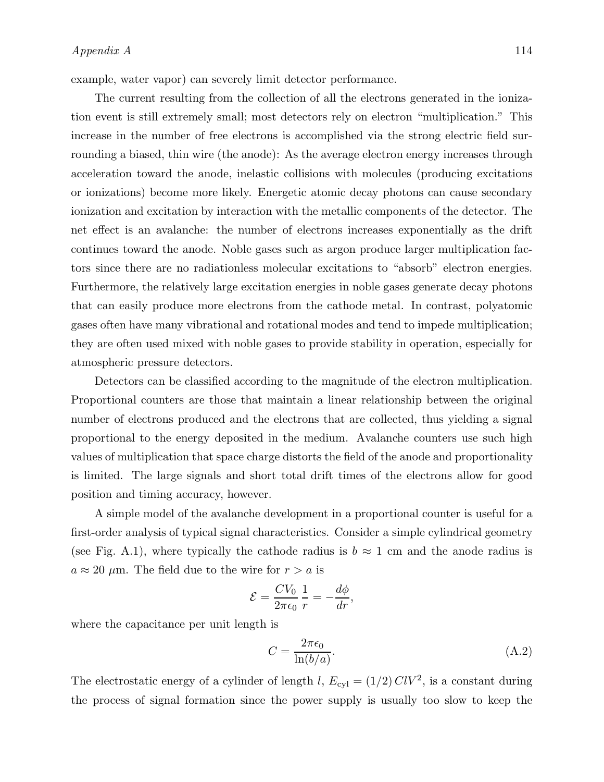example, water vapor) can severely limit detector performance.

The current resulting from the collection of all the electrons generated in the ionization event is still extremely small; most detectors rely on electron "multiplication." This increase in the number of free electrons is accomplished via the strong electric field surrounding a biased, thin wire (the anode): As the average electron energy increases through acceleration toward the anode, inelastic collisions with molecules (producing excitations or ionizations) become more likely. Energetic atomic decay photons can cause secondary ionization and excitation by interaction with the metallic components of the detector. The net effect is an avalanche: the number of electrons increases exponentially as the drift continues toward the anode. Noble gases such as argon produce larger multiplication factors since there are no radiationless molecular excitations to "absorb" electron energies. Furthermore, the relatively large excitation energies in noble gases generate decay photons that can easily produce more electrons from the cathode metal. In contrast, polyatomic gases often have many vibrational and rotational modes and tend to impede multiplication; they are often used mixed with noble gases to provide stability in operation, especially for atmospheric pressure detectors.

Detectors can be classified according to the magnitude of the electron multiplication. Proportional counters are those that maintain a linear relationship between the original number of electrons produced and the electrons that are collected, thus yielding a signal proportional to the energy deposited in the medium. Avalanche counters use such high values of multiplication that space charge distorts the field of the anode and proportionality is limited. The large signals and short total drift times of the electrons allow for good position and timing accuracy, however.

A simple model of the avalanche development in a proportional counter is useful for a first-order analysis of typical signal characteristics. Consider a simple cylindrical geometry (see Fig. A.1), where typically the cathode radius is  $b \approx 1$  cm and the anode radius is  $a \approx 20 \mu$ m. The field due to the wire for  $r > a$  is

$$
\mathcal{E} = \frac{CV_0}{2\pi\epsilon_0} \frac{1}{r} = -\frac{d\phi}{dr},
$$

where the capacitance per unit length is

$$
C = \frac{2\pi\epsilon_0}{\ln(b/a)}.\tag{A.2}
$$

The electrostatic energy of a cylinder of length l,  $E_{cyl} = (1/2) \, ClV^2$ , is a constant during the process of signal formation since the power supply is usually too slow to keep the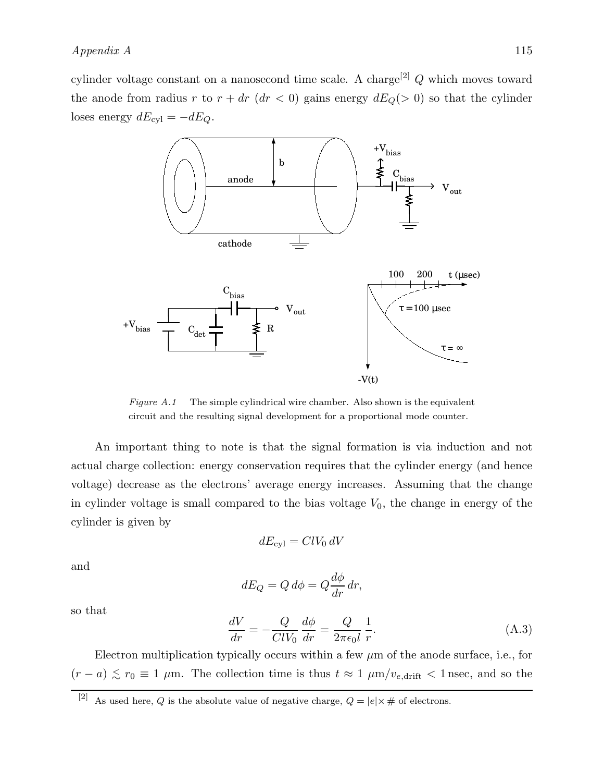cylinder voltage constant on a nanosecond time scale. A charge<sup>[2]</sup>  $Q$  which moves toward the anode from radius r to  $r + dr$  ( $dr < 0$ ) gains energy  $dE_Q(> 0)$  so that the cylinder loses energy  $dE_{\text{cyl}} = -dE_Q$ .



Figure  $A.1$  The simple cylindrical wire chamber. Also shown is the equivalent circuit and the resulting signal development for a proportional mode counter.

An important thing to note is that the signal formation is via induction and not actual charge collection: energy conservation requires that the cylinder energy (and hence voltage) decrease as the electrons' average energy increases. Assuming that the change in cylinder voltage is small compared to the bias voltage  $V_0$ , the change in energy of the cylinder is given by

$$
dE_{\rm cyl} = ClV_0 dV
$$

and

$$
dE_Q = Q d\phi = Q \frac{d\phi}{dr} dr,
$$

so that

$$
\frac{dV}{dr} = -\frac{Q}{ClV_0} \frac{d\phi}{dr} = \frac{Q}{2\pi\epsilon_0 l} \frac{1}{r}.
$$
\n(A.3)

Electron multiplication typically occurs within a few  $\mu$ m of the anode surface, i.e., for  $(r - a) \lesssim r_0 \equiv 1 \mu m$ . The collection time is thus  $t \approx 1 \mu m/v_{e, drift} < 1$  nsec, and so the

<sup>[2]</sup> As used here, Q is the absolute value of negative charge,  $Q = |e| \times \#$  of electrons.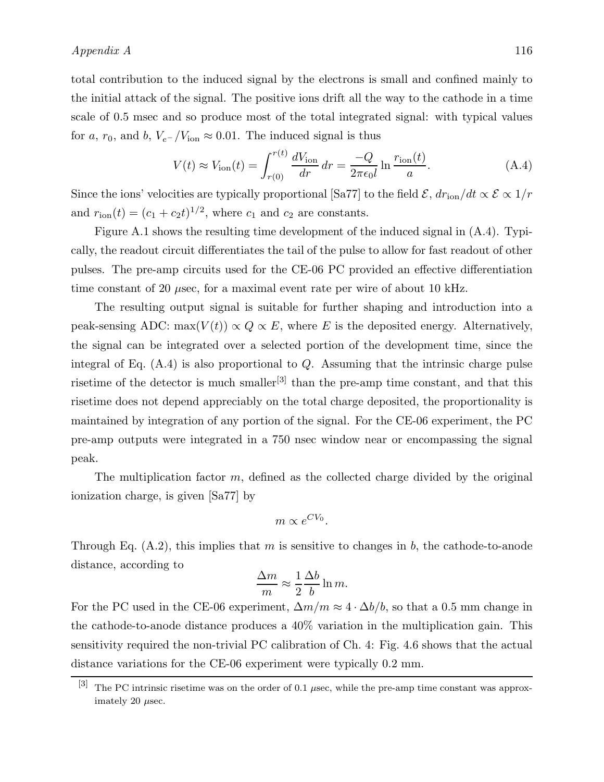total contribution to the induced signal by the electrons is small and confined mainly to the initial attack of the signal. The positive ions drift all the way to the cathode in a time scale of 0.5 msec and so produce most of the total integrated signal: with typical values for a,  $r_0$ , and b,  $V_{e^-}/V_{\text{ion}} \approx 0.01$ . The induced signal is thus

$$
V(t) \approx V_{\text{ion}}(t) = \int_{r(0)}^{r(t)} \frac{dV_{\text{ion}}}{dr} dr = \frac{-Q}{2\pi\epsilon_0 l} \ln \frac{r_{\text{ion}}(t)}{a}.
$$
 (A.4)

Since the ions' velocities are typically proportional [Sa77] to the field  $\mathcal{E}, dr_{\text{ion}}/dt \propto \mathcal{E} \propto 1/r$ and  $r_{\text{ion}}(t) = (c_1 + c_2 t)^{1/2}$ , where  $c_1$  and  $c_2$  are constants.

Figure A.1 shows the resulting time development of the induced signal in (A.4). Typically, the readout circuit differentiates the tail of the pulse to allow for fast readout of other pulses. The pre-amp circuits used for the CE-06 PC provided an effective differentiation time constant of 20  $\mu$ sec, for a maximal event rate per wire of about 10 kHz.

The resulting output signal is suitable for further shaping and introduction into a peak-sensing ADC: max $(V(t)) \propto Q \propto E$ , where E is the deposited energy. Alternatively, the signal can be integrated over a selected portion of the development time, since the integral of Eq.  $(A.4)$  is also proportional to Q. Assuming that the intrinsic charge pulse risetime of the detector is much smaller<sup>[3]</sup> than the pre-amp time constant, and that this risetime does not depend appreciably on the total charge deposited, the proportionality is maintained by integration of any portion of the signal. For the CE-06 experiment, the PC pre-amp outputs were integrated in a 750 nsec window near or encompassing the signal peak.

The multiplication factor  $m$ , defined as the collected charge divided by the original ionization charge, is given [Sa77] by

$$
m \propto e^{CV_0}.
$$

Through Eq.  $(A.2)$ , this implies that m is sensitive to changes in b, the cathode-to-anode distance, according to

$$
\frac{\Delta m}{m} \approx \frac{1}{2} \frac{\Delta b}{b} \ln m.
$$

For the PC used in the CE-06 experiment,  $\Delta m/m \approx 4 \cdot \Delta b/b$ , so that a 0.5 mm change in the cathode-to-anode distance produces a 40% variation in the multiplication gain. This sensitivity required the non-trivial PC calibration of Ch. 4: Fig. 4.6 shows that the actual distance variations for the CE-06 experiment were typically 0.2 mm.

<sup>[3]</sup> The PC intrinsic risetime was on the order of 0.1  $\mu$ sec, while the pre-amp time constant was approximately 20  $\mu$ sec.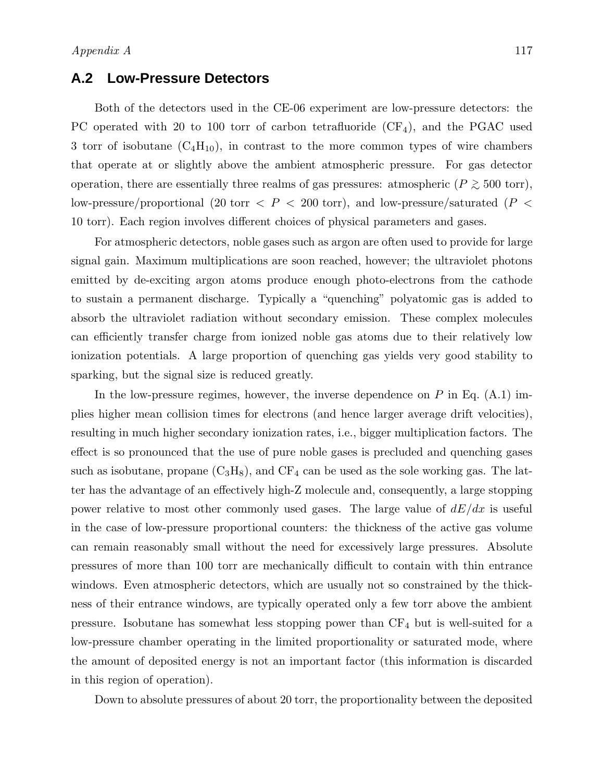## **A.2 Low-Pressure Detectors**

Both of the detectors used in the CE-06 experiment are low-pressure detectors: the PC operated with 20 to 100 torr of carbon tetrafluoride  $(CF_4)$ , and the PGAC used 3 torr of isobutane  $(C_4H_{10})$ , in contrast to the more common types of wire chambers that operate at or slightly above the ambient atmospheric pressure. For gas detector operation, there are essentially three realms of gas pressures: atmospheric ( $P \gtrsim 500$  torr), low-pressure/proportional (20 torr  $\langle P \rangle$  = 200 torr), and low-pressure/saturated ( $P \langle P \rangle$ 10 torr). Each region involves different choices of physical parameters and gases.

For atmospheric detectors, noble gases such as argon are often used to provide for large signal gain. Maximum multiplications are soon reached, however; the ultraviolet photons emitted by de-exciting argon atoms produce enough photo-electrons from the cathode to sustain a permanent discharge. Typically a "quenching" polyatomic gas is added to absorb the ultraviolet radiation without secondary emission. These complex molecules can efficiently transfer charge from ionized noble gas atoms due to their relatively low ionization potentials. A large proportion of quenching gas yields very good stability to sparking, but the signal size is reduced greatly.

In the low-pressure regimes, however, the inverse dependence on  $P$  in Eq. (A.1) implies higher mean collision times for electrons (and hence larger average drift velocities), resulting in much higher secondary ionization rates, i.e., bigger multiplication factors. The effect is so pronounced that the use of pure noble gases is precluded and quenching gases such as isobutane, propane  $(C_3H_8)$ , and  $CF_4$  can be used as the sole working gas. The latter has the advantage of an effectively high-Z molecule and, consequently, a large stopping power relative to most other commonly used gases. The large value of  $dE/dx$  is useful in the case of low-pressure proportional counters: the thickness of the active gas volume can remain reasonably small without the need for excessively large pressures. Absolute pressures of more than 100 torr are mechanically difficult to contain with thin entrance windows. Even atmospheric detectors, which are usually not so constrained by the thickness of their entrance windows, are typically operated only a few torr above the ambient pressure. Isobutane has somewhat less stopping power than  $CF_4$  but is well-suited for a low-pressure chamber operating in the limited proportionality or saturated mode, where the amount of deposited energy is not an important factor (this information is discarded in this region of operation).

Down to absolute pressures of about 20 torr, the proportionality between the deposited